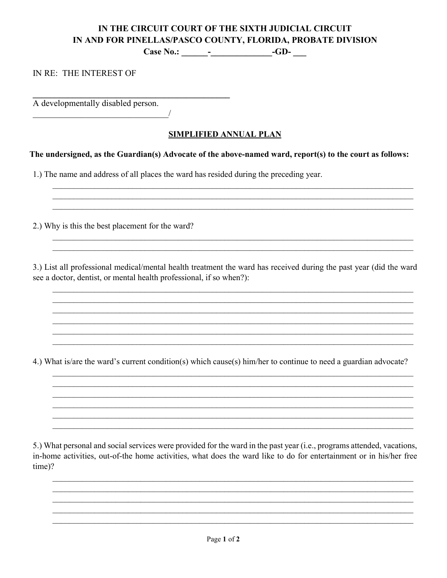# IN THE CIRCUIT COURT OF THE SIXTH JUDICIAL CIRCUIT IN AND FOR PINELLAS/PASCO COUNTY, FLORIDA, PROBATE DIVISION

IN RE: THE INTEREST OF

A developmentally disabled person.

## **SIMPLIFIED ANNUAL PLAN**

### The undersigned, as the Guardian(s) Advocate of the above-named ward, report(s) to the court as follows:

1.) The name and address of all places the ward has resided during the preceding year.

 $\sqrt{ }$ 

2.) Why is this the best placement for the ward?

3.) List all professional medical/mental health treatment the ward has received during the past year (did the ward see a doctor, dentist, or mental health professional, if so when?):

4.) What is/are the ward's current condition(s) which cause(s) him/her to continue to need a guardian advocate?

5.) What personal and social services were provided for the ward in the past year (i.e., programs attended, vacations, in-home activities, out-of-the home activities, what does the ward like to do for entertainment or in his/her free time)?